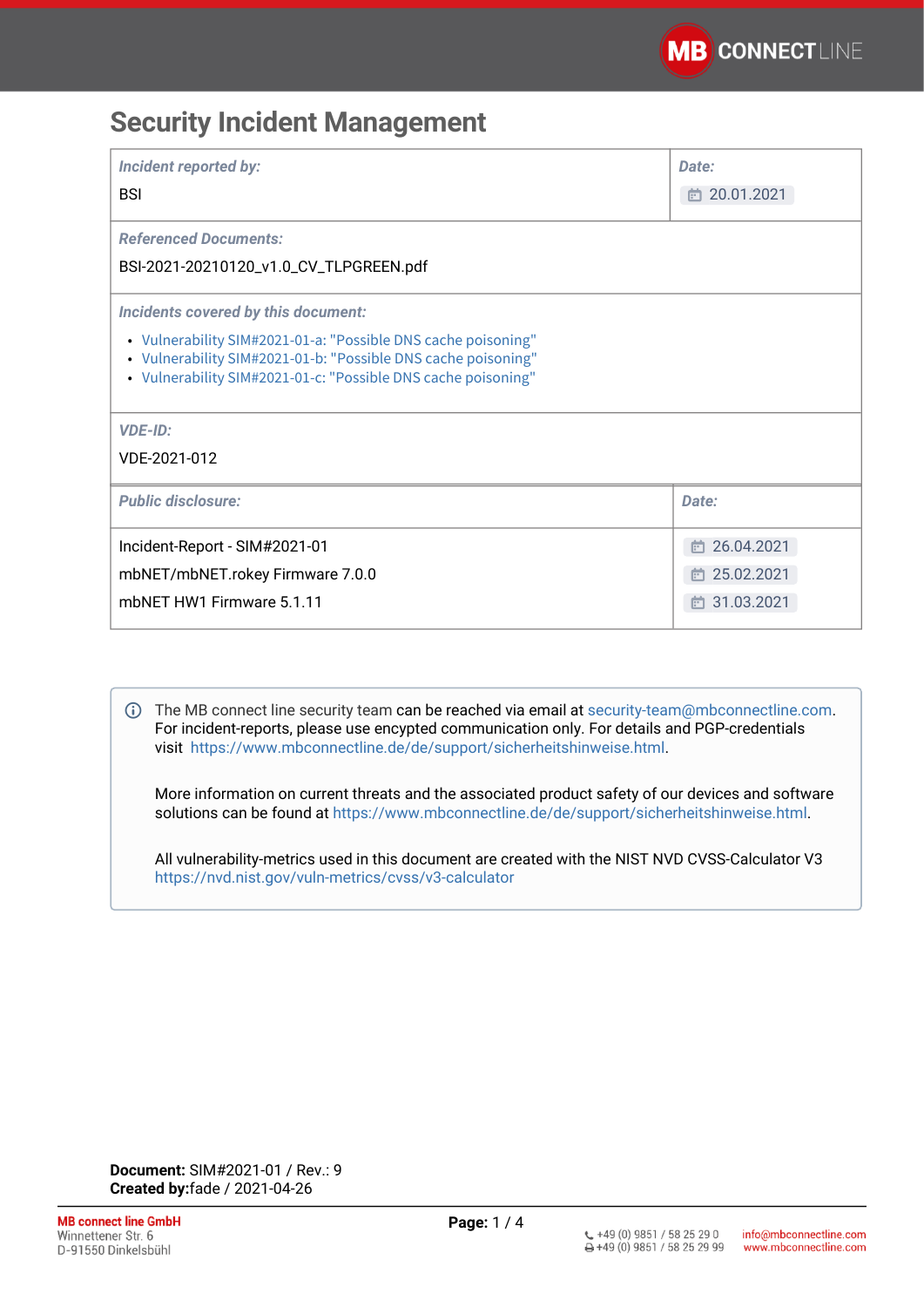# **Security Incident Management**

| <b>Incident reported by:</b><br><b>BSI</b>                                                                                                                                                      | Date:<br>□ 20.01.2021 |
|-------------------------------------------------------------------------------------------------------------------------------------------------------------------------------------------------|-----------------------|
| <b>Referenced Documents:</b><br>BSI-2021-20210120_v1.0_CV_TLPGREEN.pdf                                                                                                                          |                       |
| Incidents covered by this document:                                                                                                                                                             |                       |
| • Vulnerability SIM#2021-01-a: "Possible DNS cache poisoning"<br>• Vulnerability SIM#2021-01-b: "Possible DNS cache poisoning"<br>• Vulnerability SIM#2021-01-c: "Possible DNS cache poisoning" |                       |
| <b>VDE-ID:</b>                                                                                                                                                                                  |                       |
| VDE-2021-012                                                                                                                                                                                    |                       |
| <b>Public disclosure:</b>                                                                                                                                                                       | Date:                 |
| Incident-Report - SIM#2021-01                                                                                                                                                                   | □ 26.04.2021          |
| mbNET/mbNET.rokey Firmware 7.0.0                                                                                                                                                                | □ 25.02.2021          |
| mbNET HW1 Firmware 5.1.11                                                                                                                                                                       | □ 31.03.2021          |

The MB connect line security team can be reached via email at [security-team@mbconnectline.com](mailto:security-team@mbconnectline.com). For incident-reports, please use encypted communication only. For details and PGP-credentials visit [https://www.mbconnectline.de/de/support/sicherheitshinweise.html.](https://www.mbconnectline.de/de/support/sicherheitshinweise.html)

More information on current threats and the associated product safety of our devices and software solutions can be found at <https://www.mbconnectline.de/de/support/sicherheitshinweise.html>.

All vulnerability-metrics used in this document are created with the NIST NVD CVSS-Calculator V3 <https://nvd.nist.gov/vuln-metrics/cvss/v3-calculator>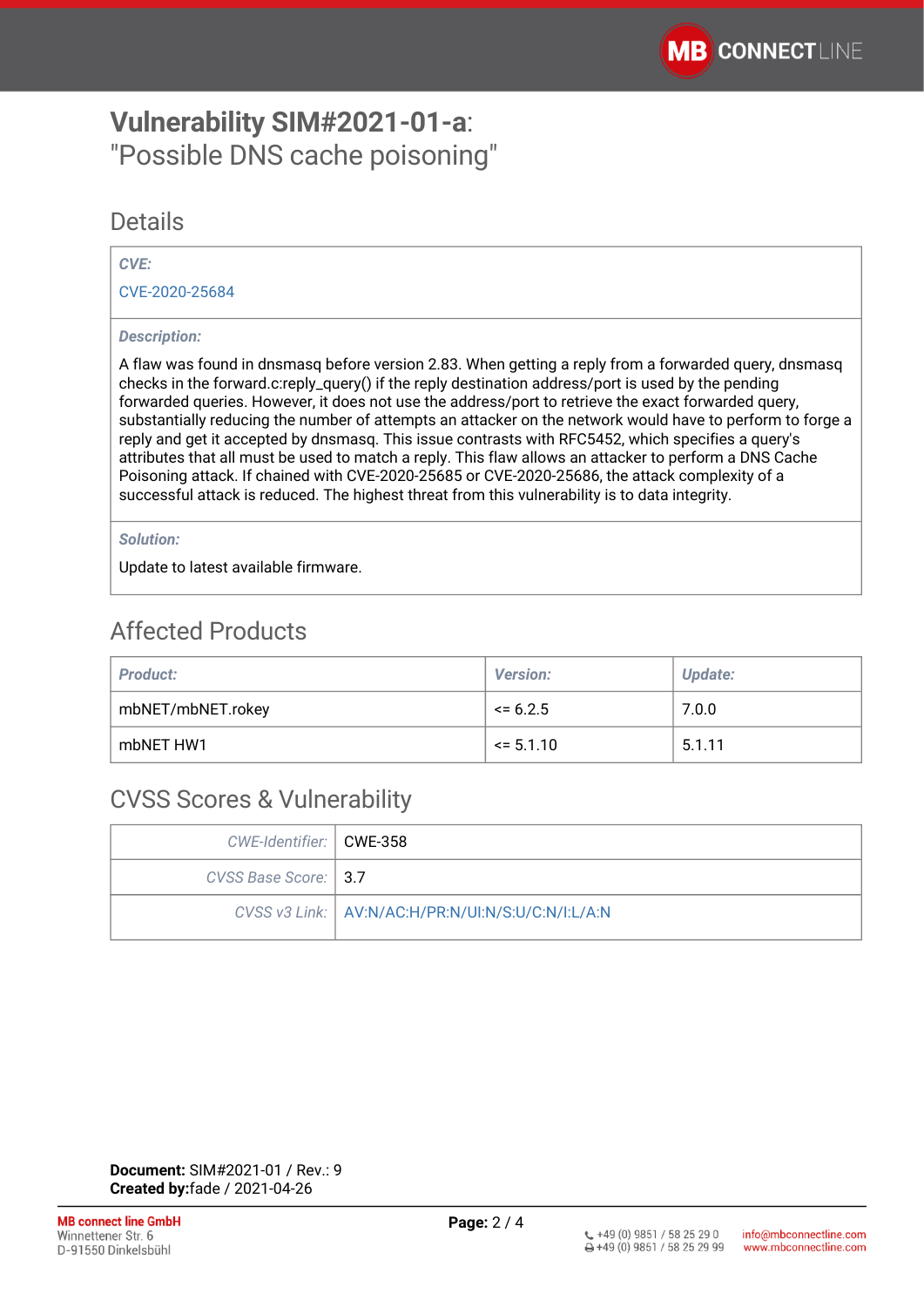# <span id="page-1-0"></span>**Vulnerability SIM#2021-01-a**: "Possible DNS cache poisoning"

### Details

#### *CVE:*

[CVE-2020-25684](https://cve.mitre.org/cgi-bin/cvename.cgi?name=CVE-2020-25684)

#### *Description:*

A flaw was found in dnsmasq before version 2.83. When getting a reply from a forwarded query, dnsmasq checks in the forward.c:reply\_query() if the reply destination address/port is used by the pending forwarded queries. However, it does not use the address/port to retrieve the exact forwarded query, substantially reducing the number of attempts an attacker on the network would have to perform to forge a reply and get it accepted by dnsmasq. This issue contrasts with RFC5452, which specifies a query's attributes that all must be used to match a reply. This flaw allows an attacker to perform a DNS Cache Poisoning attack. If chained with CVE-2020-25685 or CVE-2020-25686, the attack complexity of a successful attack is reduced. The highest threat from this vulnerability is to data integrity.

#### *Solution:*

Update to latest available firmware.

# Affected Products

| <b>Product:</b>   | <b>Version:</b> | Update: |
|-------------------|-----------------|---------|
| mbNET/mbNET.rokey | $\leq 6.2.5$    | 7.0.0   |
| mbNET HW1         | $\le$ 5.1.10    | 5.1.11  |

### CVSS Scores & Vulnerability

| CWE-Identifier:   CWE-358 |                                                     |
|---------------------------|-----------------------------------------------------|
| CVSS Base Score:   3.7    |                                                     |
|                           | CVSS v3 Link:   AV:N/AC:H/PR:N/UI:N/S:U/C:N/I:L/A:N |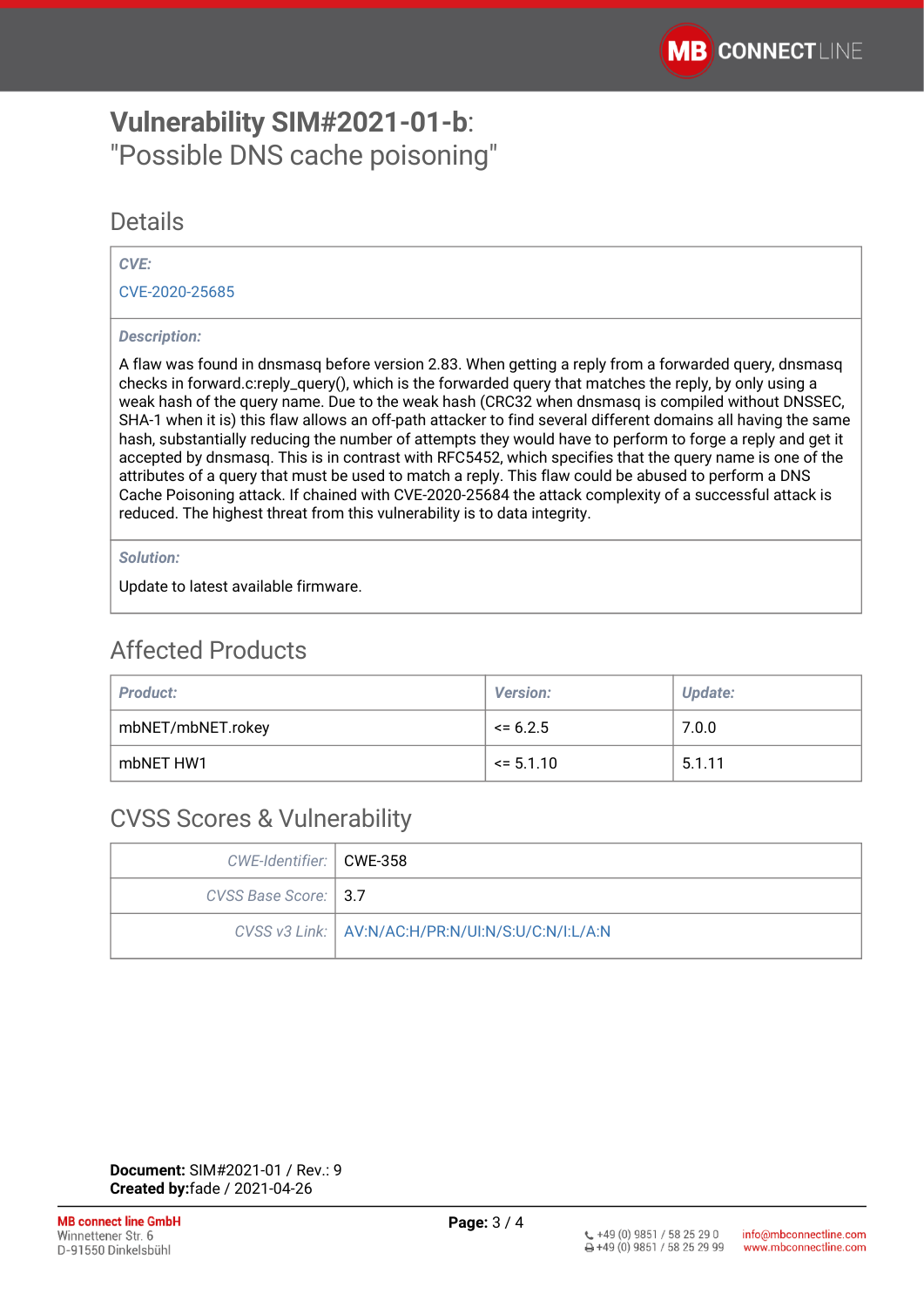# <span id="page-2-0"></span>**Vulnerability SIM#2021-01-b**: "Possible DNS cache poisoning"

### Details

#### *CVE:*

[CVE-2020-25685](https://cve.mitre.org/cgi-bin/cvename.cgi?name=CVE-2020-25685)

#### *Description:*

A flaw was found in dnsmasq before version 2.83. When getting a reply from a forwarded query, dnsmasq checks in forward.c:reply\_query(), which is the forwarded query that matches the reply, by only using a weak hash of the query name. Due to the weak hash (CRC32 when dnsmasq is compiled without DNSSEC, SHA-1 when it is) this flaw allows an off-path attacker to find several different domains all having the same hash, substantially reducing the number of attempts they would have to perform to forge a reply and get it accepted by dnsmasq. This is in contrast with RFC5452, which specifies that the query name is one of the attributes of a query that must be used to match a reply. This flaw could be abused to perform a DNS Cache Poisoning attack. If chained with CVE-2020-25684 the attack complexity of a successful attack is reduced. The highest threat from this vulnerability is to data integrity.

#### *Solution:*

Update to latest available firmware.

### Affected Products

| <b>Product:</b>   | <b>Version:</b> | Update: |
|-------------------|-----------------|---------|
| mbNET/mbNET.rokey | $\le$ = 6.2.5   | 7.0.0   |
| mbNET HW1         | $\le$ 5.1.10    | 5.1.11  |

### CVSS Scores & Vulnerability

| CWE-Identifier:   CWE-358 |                                                     |
|---------------------------|-----------------------------------------------------|
| CVSS Base Score: 1 3.7    |                                                     |
|                           | CVSS v3 Link:   AV:N/AC:H/PR:N/UI:N/S:U/C:N/I:L/A:N |